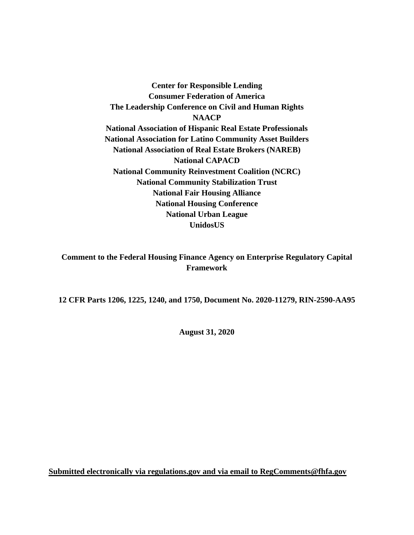**Center for Responsible Lending Consumer Federation of America The Leadership Conference on Civil and Human Rights NAACP National Association of Hispanic Real Estate Professionals National Association for Latino Community Asset Builders National Association of Real Estate Brokers (NAREB) National CAPACD National Community Reinvestment Coalition (NCRC) National Community Stabilization Trust National Fair Housing Alliance National Housing Conference National Urban League UnidosUS**

**Comment to the Federal Housing Finance Agency on Enterprise Regulatory Capital Framework**

**12 CFR Parts 1206, 1225, 1240, and 1750, Document No. 2020-11279, RIN-2590-AA95**

**August 31, 2020**

**Submitted electronically via regulations.gov and via email to [RegComments@fhfa.gov](mailto:RegComments@fhfa.gov)**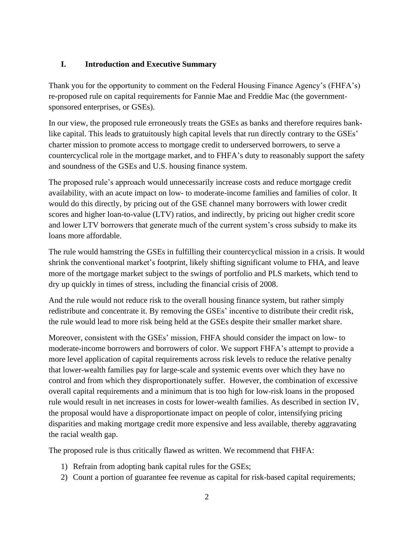## **I. Introduction and Executive Summary**

Thank you for the opportunity to comment on the Federal Housing Finance Agency's (FHFA's) re-proposed rule on capital requirements for Fannie Mae and Freddie Mac (the governmentsponsored enterprises, or GSEs).

In our view, the proposed rule erroneously treats the GSEs as banks and therefore requires banklike capital. This leads to gratuitously high capital levels that run directly contrary to the GSEs' charter mission to promote access to mortgage credit to underserved borrowers, to serve a countercyclical role in the mortgage market, and to FHFA's duty to reasonably support the safety and soundness of the GSEs and U.S. housing finance system.

The proposed rule's approach would unnecessarily increase costs and reduce mortgage credit availability, with an acute impact on low- to moderate-income families and families of color. It would do this directly, by pricing out of the GSE channel many borrowers with lower credit scores and higher loan-to-value (LTV) ratios, and indirectly, by pricing out higher credit score and lower LTV borrowers that generate much of the current system's cross subsidy to make its loans more affordable.

The rule would hamstring the GSEs in fulfilling their countercyclical mission in a crisis. It would shrink the conventional market's footprint, likely shifting significant volume to FHA, and leave more of the mortgage market subject to the swings of portfolio and PLS markets, which tend to dry up quickly in times of stress, including the financial crisis of 2008.

And the rule would not reduce risk to the overall housing finance system, but rather simply redistribute and concentrate it. By removing the GSEs' incentive to distribute their credit risk, the rule would lead to more risk being held at the GSEs despite their smaller market share.

Moreover, consistent with the GSEs' mission, FHFA should consider the impact on low- to moderate-income borrowers and borrowers of color. We support FHFA's attempt to provide a more level application of capital requirements across risk levels to reduce the relative penalty that lower-wealth families pay for large-scale and systemic events over which they have no control and from which they disproportionately suffer. However, the combination of excessive overall capital requirements and a minimum that is too high for low-risk loans in the proposed rule would result in net increases in costs for lower-wealth families. As described in section IV, the proposal would have a disproportionate impact on people of color, intensifying pricing disparities and making mortgage credit more expensive and less available, thereby aggravating the racial wealth gap.

The proposed rule is thus critically flawed as written. We recommend that FHFA:

- 1) Refrain from adopting bank capital rules for the GSEs;
- 2) Count a portion of guarantee fee revenue as capital for risk-based capital requirements;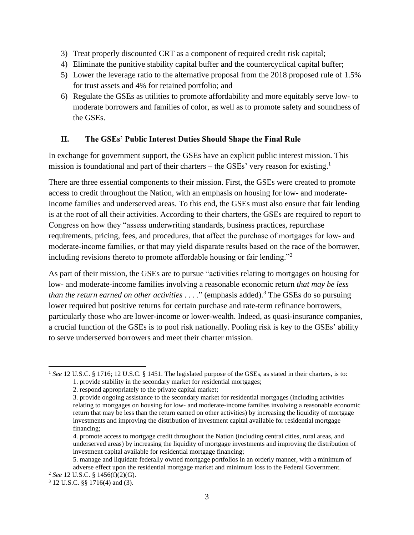- 3) Treat properly discounted CRT as a component of required credit risk capital;
- 4) Eliminate the punitive stability capital buffer and the countercyclical capital buffer;
- 5) Lower the leverage ratio to the alternative proposal from the 2018 proposed rule of 1.5% for trust assets and 4% for retained portfolio; and
- 6) Regulate the GSEs as utilities to promote affordability and more equitably serve low- to moderate borrowers and families of color, as well as to promote safety and soundness of the GSEs.

## **II. The GSEs' Public Interest Duties Should Shape the Final Rule**

In exchange for government support, the GSEs have an explicit public interest mission. This mission is foundational and part of their charters – the GSEs' very reason for existing.<sup>1</sup>

There are three essential components to their mission. First, the GSEs were created to promote access to credit throughout the Nation, with an emphasis on housing for low- and moderateincome families and underserved areas. To this end, the GSEs must also ensure that fair lending is at the root of all their activities. According to their charters, the GSEs are required to report to Congress on how they "assess underwriting standards, business practices, repurchase requirements, pricing, fees, and procedures, that affect the purchase of mortgages for low‐ and moderate-income families, or that may yield disparate results based on the race of the borrower, including revisions thereto to promote affordable housing or fair lending."<sup>2</sup>

As part of their mission, the GSEs are to pursue "activities relating to mortgages on housing for low- and moderate-income families involving a reasonable economic return *that may be less than the return earned on other activities* . . . ." (emphasis added).<sup>3</sup> The GSEs do so pursuing lower required but positive returns for certain purchase and rate-term refinance borrowers, particularly those who are lower-income or lower-wealth. Indeed, as quasi-insurance companies, a crucial function of the GSEs is to pool risk nationally. Pooling risk is key to the GSEs' ability to serve underserved borrowers and meet their charter mission.

<sup>&</sup>lt;sup>1</sup> See 12 U.S.C. § 1716; 12 U.S.C. § 1451. The legislated purpose of the GSEs, as stated in their charters, is to:

<sup>1.</sup> provide stability in the secondary market for residential mortgages;

<sup>2.</sup> respond appropriately to the private capital market;

<sup>3.</sup> provide ongoing assistance to the secondary market for residential mortgages (including activities relating to mortgages on housing for low- and moderate-income families involving a reasonable economic return that may be less than the return earned on other activities) by increasing the liquidity of mortgage investments and improving the distribution of investment capital available for residential mortgage financing;

<sup>4.</sup> promote access to mortgage credit throughout the Nation (including central cities, rural areas, and underserved areas) by increasing the liquidity of mortgage investments and improving the distribution of investment capital available for residential mortgage financing;

<sup>5.</sup> manage and liquidate federally owned mortgage portfolios in an orderly manner, with a minimum of adverse effect upon the residential mortgage market and minimum loss to the Federal Government.

<sup>2</sup> *See* 12 U.S.C. § 1456(f)(2)(G).

<sup>3</sup> 12 U.S.C. §§ 1716(4) and (3).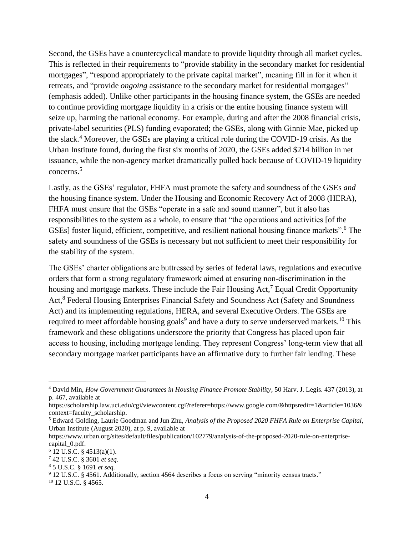Second, the GSEs have a countercyclical mandate to provide liquidity through all market cycles. This is reflected in their requirements to "provide stability in the secondary market for residential mortgages", "respond appropriately to the private capital market", meaning fill in for it when it retreats, and "provide *ongoing* assistance to the secondary market for residential mortgages" (emphasis added). Unlike other participants in the housing finance system, the GSEs are needed to continue providing mortgage liquidity in a crisis or the entire housing finance system will seize up, harming the national economy. For example, during and after the 2008 financial crisis, private-label securities (PLS) funding evaporated; the GSEs, along with Ginnie Mae, picked up the slack. <sup>4</sup> Moreover, the GSEs are playing a critical role during the COVID-19 crisis. As the Urban Institute found, during the first six months of 2020, the GSEs added \$214 billion in net issuance, while the non-agency market dramatically pulled back because of COVID-19 liquidity concerns.<sup>5</sup>

Lastly, as the GSEs' regulator, FHFA must promote the safety and soundness of the GSEs *and* the housing finance system. Under the Housing and Economic Recovery Act of 2008 (HERA), FHFA must ensure that the GSEs "operate in a safe and sound manner", but it also has responsibilities to the system as a whole, to ensure that "the operations and activities [of the GSEs] foster liquid, efficient, competitive, and resilient national housing finance markets".<sup>6</sup> The safety and soundness of the GSEs is necessary but not sufficient to meet their responsibility for the stability of the system.

The GSEs' charter obligations are buttressed by series of federal laws, regulations and executive orders that form a strong regulatory framework aimed at ensuring non‐discrimination in the housing and mortgage markets. These include the Fair Housing Act,<sup>7</sup> Equal Credit Opportunity Act,<sup>8</sup> Federal Housing Enterprises Financial Safety and Soundness Act (Safety and Soundness Act) and its implementing regulations, HERA, and several Executive Orders. The GSEs are required to meet affordable housing goals<sup>9</sup> and have a duty to serve underserved markets.<sup>10</sup> This framework and these obligations underscore the priority that Congress has placed upon fair access to housing, including mortgage lending. They represent Congress' long-term view that all secondary mortgage market participants have an affirmative duty to further fair lending. These

<sup>4</sup> David Min, *How Government Guarantees in Housing Finance Promote Stability*, 50 Harv. J. Legis. 437 (2013), at p. 467, available at

[https://scholarship.law.uci.edu/cgi/viewcontent.cgi?referer=https://www.google.com/&httpsredir=1&article=1036&](https://scholarship.law.uci.edu/cgi/viewcontent.cgi?referer=https://www.google.com/&httpsredir=1&article=1036&context=faculty_scholarship) [context=faculty\\_scholarship.](https://scholarship.law.uci.edu/cgi/viewcontent.cgi?referer=https://www.google.com/&httpsredir=1&article=1036&context=faculty_scholarship)

<sup>5</sup> Edward Golding, Laurie Goodman and Jun Zhu, *Analysis of the Proposed 2020 FHFA Rule on Enterprise Capital*, Urban Institute (August 2020), at p. 9, available at

[https://www.urban.org/sites/default/files/publication/102779/analysis-of-the-proposed-2020-rule-on-enterprise](https://www.urban.org/sites/default/files/publication/102779/analysis-of-the-proposed-2020-rule-on-enterprise-capital_0.pdf)[capital\\_0.pdf.](https://www.urban.org/sites/default/files/publication/102779/analysis-of-the-proposed-2020-rule-on-enterprise-capital_0.pdf)

<sup>6</sup> 12 U.S.C. § 4513(a)(1).

<sup>7</sup> 42 U.S.C. § 3601 *et seq*.

<sup>8</sup> 5 U.S.C. § 1691 *et seq.*

<sup>9</sup> 12 U.S.C. § 4561. Additionally, section 4564 describes a focus on serving "minority census tracts."

<sup>10</sup> 12 U.S.C. § 4565.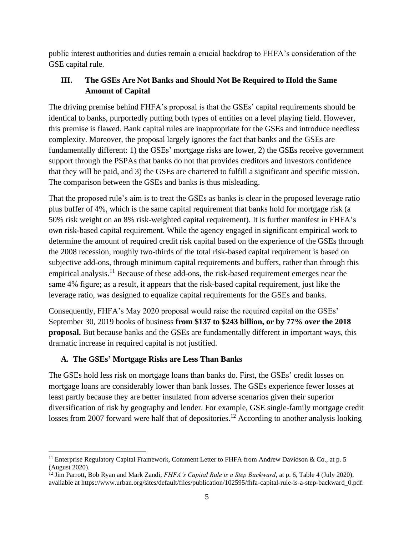public interest authorities and duties remain a crucial backdrop to FHFA's consideration of the GSE capital rule.

# **III. The GSEs Are Not Banks and Should Not Be Required to Hold the Same Amount of Capital**

The driving premise behind FHFA's proposal is that the GSEs' capital requirements should be identical to banks, purportedly putting both types of entities on a level playing field. However, this premise is flawed. Bank capital rules are inappropriate for the GSEs and introduce needless complexity. Moreover, the proposal largely ignores the fact that banks and the GSEs are fundamentally different: 1) the GSEs' mortgage risks are lower, 2) the GSEs receive government support through the PSPAs that banks do not that provides creditors and investors confidence that they will be paid, and 3) the GSEs are chartered to fulfill a significant and specific mission. The comparison between the GSEs and banks is thus misleading.

That the proposed rule's aim is to treat the GSEs as banks is clear in the proposed leverage ratio plus buffer of 4%, which is the same capital requirement that banks hold for mortgage risk (a 50% risk weight on an 8% risk-weighted capital requirement). It is further manifest in FHFA's own risk-based capital requirement. While the agency engaged in significant empirical work to determine the amount of required credit risk capital based on the experience of the GSEs through the 2008 recession, roughly two-thirds of the total risk-based capital requirement is based on subjective add-ons, through minimum capital requirements and buffers, rather than through this empirical analysis.<sup>11</sup> Because of these add-ons, the risk-based requirement emerges near the same 4% figure; as a result, it appears that the risk-based capital requirement, just like the leverage ratio, was designed to equalize capital requirements for the GSEs and banks.

Consequently, FHFA's May 2020 proposal would raise the required capital on the GSEs' September 30, 2019 books of business **from \$137 to \$243 billion, or by 77% over the 2018 proposal.** But because banks and the GSEs are fundamentally different in important ways, this dramatic increase in required capital is not justified.

## **A. The GSEs' Mortgage Risks are Less Than Banks**

The GSEs hold less risk on mortgage loans than banks do. First, the GSEs' credit losses on mortgage loans are considerably lower than bank losses. The GSEs experience fewer losses at least partly because they are better insulated from adverse scenarios given their superior diversification of risk by geography and lender. For example, GSE single-family mortgage credit losses from 2007 forward were half that of depositories.<sup>12</sup> According to another analysis looking

<sup>&</sup>lt;sup>11</sup> Enterprise Regulatory Capital Framework, Comment Letter to FHFA from Andrew Davidson & Co., at p. 5 (August 2020).

<sup>&</sup>lt;sup>12</sup> Jim Parrott, Bob Ryan and Mark Zandi, *FHFA's Capital Rule is a Step Backward*, at p. 6, Table 4 (July 2020), available at [https://www.urban.org/sites/default/files/publication/102595/fhfa-capital-rule-is-a-step-backward\\_0.pdf.](https://www.urban.org/sites/default/files/publication/102595/fhfa-capital-rule-is-a-step-backward_0.pdf)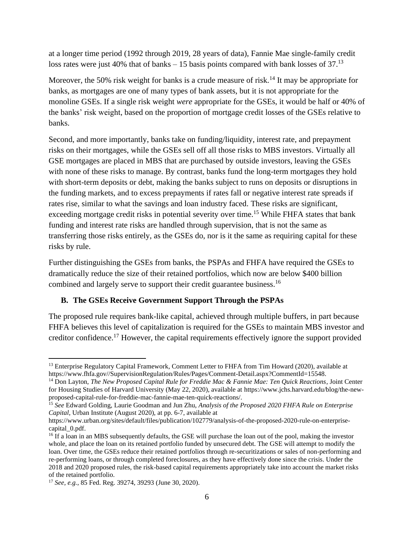at a longer time period (1992 through 2019, 28 years of data), Fannie Mae single-family credit loss rates were just 40% that of banks  $-15$  basis points compared with bank losses of 37.<sup>13</sup>

Moreover, the 50% risk weight for banks is a crude measure of risk.<sup>14</sup> It may be appropriate for banks, as mortgages are one of many types of bank assets, but it is not appropriate for the monoline GSEs. If a single risk weight *were* appropriate for the GSEs, it would be half or 40% of the banks' risk weight, based on the proportion of mortgage credit losses of the GSEs relative to banks.

Second, and more importantly, banks take on funding/liquidity, interest rate, and prepayment risks on their mortgages, while the GSEs sell off all those risks to MBS investors. Virtually all GSE mortgages are placed in MBS that are purchased by outside investors, leaving the GSEs with none of these risks to manage. By contrast, banks fund the long-term mortgages they hold with short-term deposits or debt, making the banks subject to runs on deposits or disruptions in the funding markets, and to excess prepayments if rates fall or negative interest rate spreads if rates rise, similar to what the savings and loan industry faced. These risks are significant, exceeding mortgage credit risks in potential severity over time.<sup>15</sup> While FHFA states that bank funding and interest rate risks are handled through supervision, that is not the same as transferring those risks entirely, as the GSEs do, nor is it the same as requiring capital for these risks by rule.

Further distinguishing the GSEs from banks, the PSPAs and FHFA have required the GSEs to dramatically reduce the size of their retained portfolios, which now are below \$400 billion combined and largely serve to support their credit guarantee business.<sup>16</sup>

## **B. The GSEs Receive Government Support Through the PSPAs**

The proposed rule requires bank-like capital, achieved through multiple buffers, in part because FHFA believes this level of capitalization is required for the GSEs to maintain MBS investor and creditor confidence.<sup>17</sup> However, the capital requirements effectively ignore the support provided

<sup>&</sup>lt;sup>13</sup> Enterprise Regulatory Capital Framework, Comment Letter to FHFA from Tim Howard (2020), available at [https://www.fhfa.gov//SupervisionRegulation/Rules/Pages/Comment-Detail.aspx?CommentId=15548.](https://www.fhfa.gov/SupervisionRegulation/Rules/Pages/Comment-Detail.aspx?CommentId=15548)

<sup>14</sup> Don Layton, *The New Proposed Capital Rule for Freddie Mac & Fannie Mae: Ten Quick Reactions*, Joint Center for Housing Studies of Harvard University (May 22, 2020), available at [https://www.jchs.harvard.edu/blog/the-new](https://www.jchs.harvard.edu/blog/the-new-proposed-capital-rule-for-freddie-mac-fannie-mae-ten-quick-reactions/)[proposed-capital-rule-for-freddie-mac-fannie-mae-ten-quick-reactions/.](https://www.jchs.harvard.edu/blog/the-new-proposed-capital-rule-for-freddie-mac-fannie-mae-ten-quick-reactions/)

<sup>15</sup> *See* Edward Golding, Laurie Goodman and Jun Zhu, *Analysis of the Proposed 2020 FHFA Rule on Enterprise Capital*, Urban Institute (August 2020), at pp. 6-7, available at

[https://www.urban.org/sites/default/files/publication/102779/analysis-of-the-proposed-2020-rule-on-enterprise](https://www.urban.org/sites/default/files/publication/102779/analysis-of-the-proposed-2020-rule-on-enterprise-capital_0.pdf)[capital\\_0.pdf.](https://www.urban.org/sites/default/files/publication/102779/analysis-of-the-proposed-2020-rule-on-enterprise-capital_0.pdf)

<sup>&</sup>lt;sup>16</sup> If a loan in an MBS subsequently defaults, the GSE will purchase the loan out of the pool, making the investor whole, and place the loan on its retained portfolio funded by unsecured debt. The GSE will attempt to modify the loan. Over time, the GSEs reduce their retained portfolios through re-securitizations or sales of non-performing and re-performing loans, or through completed foreclosures, as they have effectively done since the crisis. Under the 2018 and 2020 proposed rules, the risk-based capital requirements appropriately take into account the market risks of the retained portfolio.

<sup>17</sup> *See, e.g.*, 85 Fed. Reg. 39274, 39293 (June 30, 2020).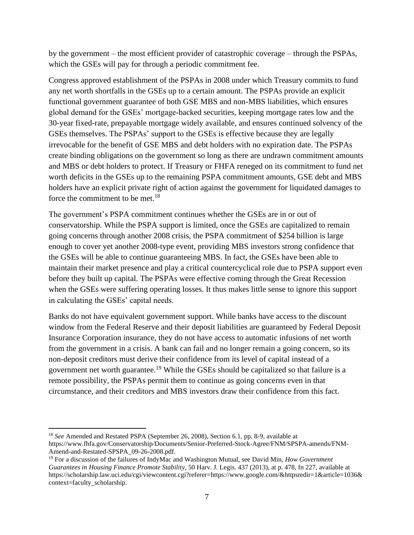by the government – the most efficient provider of catastrophic coverage – through the PSPAs, which the GSEs will pay for through a periodic commitment fee.

Congress approved establishment of the PSPAs in 2008 under which Treasury commits to fund any net worth shortfalls in the GSEs up to a certain amount. The PSPAs provide an explicit functional government guarantee of both GSE MBS and non-MBS liabilities, which ensures global demand for the GSEs' mortgage-backed securities, keeping mortgage rates low and the 30-year fixed-rate, prepayable mortgage widely available, and ensures continued solvency of the GSEs themselves. The PSPAs' support to the GSEs is effective because they are legally irrevocable for the benefit of GSE MBS and debt holders with no expiration date. The PSPAs create binding obligations on the government so long as there are undrawn commitment amounts and MBS or debt holders to protect. If Treasury or FHFA reneged on its commitment to fund net worth deficits in the GSEs up to the remaining PSPA commitment amounts, GSE debt and MBS holders have an explicit private right of action against the government for liquidated damages to force the commitment to be met.<sup>18</sup>

The government's PSPA commitment continues whether the GSEs are in or out of conservatorship. While the PSPA support is limited, once the GSEs are capitalized to remain going concerns through another 2008 crisis, the PSPA commitment of \$254 billion is large enough to cover yet another 2008-type event, providing MBS investors strong confidence that the GSEs will be able to continue guaranteeing MBS. In fact, the GSEs have been able to maintain their market presence and play a critical countercyclical role due to PSPA support even before they built up capital. The PSPAs were effective coming through the Great Recession when the GSEs were suffering operating losses. It thus makes little sense to ignore this support in calculating the GSEs' capital needs.

Banks do not have equivalent government support. While banks have access to the discount window from the Federal Reserve and their deposit liabilities are guaranteed by Federal Deposit Insurance Corporation insurance, they do not have access to automatic infusions of net worth from the government in a crisis. A bank can fail and no longer remain a going concern, so its non-deposit creditors must derive their confidence from its level of capital instead of a government net worth guarantee.<sup>19</sup> While the GSEs should be capitalized so that failure is a remote possibility, the PSPAs permit them to continue as going concerns even in that circumstance, and their creditors and MBS investors draw their confidence from this fact.

<sup>18</sup> *See* Amended and Restated PSPA (September 26, 2008), Section 6.1, pp. 8-9, available at [https://www.fhfa.gov/Conservatorship/Documents/Senior-Preferred-Stock-Agree/FNM/SPSPA-amends/FNM-](https://www.fhfa.gov/Conservatorship/Documents/Senior-Preferred-Stock-Agree/FNM/SPSPA-amends/FNM-Amend-and-Restated-SPSPA_09-26-2008.pdf)[Amend-and-Restated-SPSPA\\_09-26-2008.pdf.](https://www.fhfa.gov/Conservatorship/Documents/Senior-Preferred-Stock-Agree/FNM/SPSPA-amends/FNM-Amend-and-Restated-SPSPA_09-26-2008.pdf)

<sup>19</sup> For a discussion of the failures of IndyMac and Washington Mutual, see David Min, *How Government Guarantees in Housing Finance Promote Stability*, 50 Harv. J. Legis. 437 (2013), at p. 478, fn 227, available at https://scholarship.law.uci.edu/cgi/viewcontent.cgi?referer=https://www.google.com/&httpsredir=1&article=1036& context=faculty\_scholarship.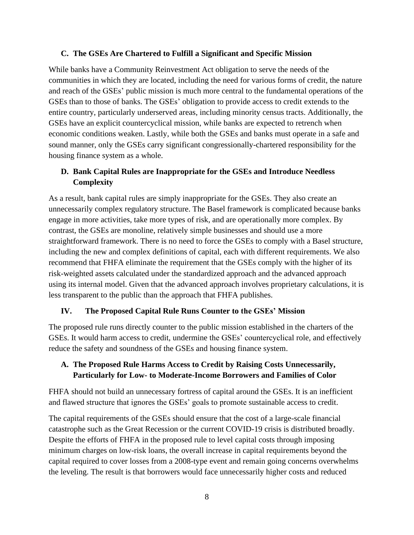#### **C. The GSEs Are Chartered to Fulfill a Significant and Specific Mission**

While banks have a Community Reinvestment Act obligation to serve the needs of the communities in which they are located, including the need for various forms of credit, the nature and reach of the GSEs' public mission is much more central to the fundamental operations of the GSEs than to those of banks. The GSEs' obligation to provide access to credit extends to the entire country, particularly underserved areas, including minority census tracts. Additionally, the GSEs have an explicit countercyclical mission, while banks are expected to retrench when economic conditions weaken. Lastly, while both the GSEs and banks must operate in a safe and sound manner, only the GSEs carry significant congressionally-chartered responsibility for the housing finance system as a whole.

## **D. Bank Capital Rules are Inappropriate for the GSEs and Introduce Needless Complexity**

As a result, bank capital rules are simply inappropriate for the GSEs. They also create an unnecessarily complex regulatory structure. The Basel framework is complicated because banks engage in more activities, take more types of risk, and are operationally more complex. By contrast, the GSEs are monoline, relatively simple businesses and should use a more straightforward framework. There is no need to force the GSEs to comply with a Basel structure, including the new and complex definitions of capital, each with different requirements. We also recommend that FHFA eliminate the requirement that the GSEs comply with the higher of its risk-weighted assets calculated under the standardized approach and the advanced approach using its internal model. Given that the advanced approach involves proprietary calculations, it is less transparent to the public than the approach that FHFA publishes.

#### **IV. The Proposed Capital Rule Runs Counter to the GSEs' Mission**

The proposed rule runs directly counter to the public mission established in the charters of the GSEs. It would harm access to credit, undermine the GSEs' countercyclical role, and effectively reduce the safety and soundness of the GSEs and housing finance system.

## **A. The Proposed Rule Harms Access to Credit by Raising Costs Unnecessarily, Particularly for Low- to Moderate-Income Borrowers and Families of Color**

FHFA should not build an unnecessary fortress of capital around the GSEs. It is an inefficient and flawed structure that ignores the GSEs' goals to promote sustainable access to credit.

The capital requirements of the GSEs should ensure that the cost of a large-scale financial catastrophe such as the Great Recession or the current COVID-19 crisis is distributed broadly. Despite the efforts of FHFA in the proposed rule to level capital costs through imposing minimum charges on low-risk loans, the overall increase in capital requirements beyond the capital required to cover losses from a 2008-type event and remain going concerns overwhelms the leveling. The result is that borrowers would face unnecessarily higher costs and reduced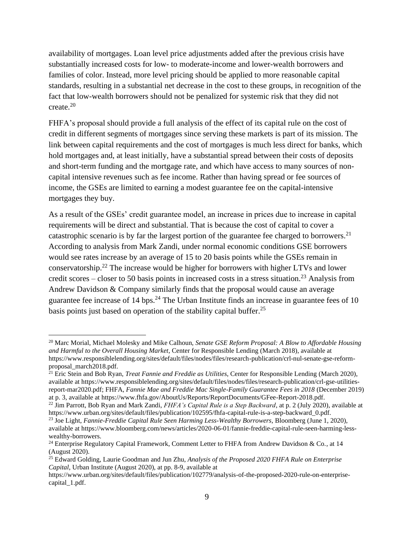availability of mortgages. Loan level price adjustments added after the previous crisis have substantially increased costs for low- to moderate-income and lower-wealth borrowers and families of color. Instead, more level pricing should be applied to more reasonable capital standards, resulting in a substantial net decrease in the cost to these groups, in recognition of the fact that low-wealth borrowers should not be penalized for systemic risk that they did not create.<sup>20</sup>

FHFA's proposal should provide a full analysis of the effect of its capital rule on the cost of credit in different segments of mortgages since serving these markets is part of its mission. The link between capital requirements and the cost of mortgages is much less direct for banks, which hold mortgages and, at least initially, have a substantial spread between their costs of deposits and short-term funding and the mortgage rate, and which have access to many sources of noncapital intensive revenues such as fee income. Rather than having spread or fee sources of income, the GSEs are limited to earning a modest guarantee fee on the capital-intensive mortgages they buy.

As a result of the GSEs' credit guarantee model, an increase in prices due to increase in capital requirements will be direct and substantial. That is because the cost of capital to cover a catastrophic scenario is by far the largest portion of the guarantee fee charged to borrowers.<sup>21</sup> According to analysis from Mark Zandi, under normal economic conditions GSE borrowers would see rates increase by an average of 15 to 20 basis points while the GSEs remain in conservatorship.<sup>22</sup> The increase would be higher for borrowers with higher LTVs and lower credit scores – closer to 50 basis points in increased costs in a stress situation.<sup>23</sup> Analysis from Andrew Davidson & Company similarly finds that the proposal would cause an average guarantee fee increase of  $14 \text{ bps}$ <sup>24</sup>. The Urban Institute finds an increase in guarantee fees of 10 basis points just based on operation of the stability capital buffer.<sup>25</sup>

<sup>20</sup> Marc Morial, Michael Molesky and Mike Calhoun, *Senate GSE Reform Proposal: A Blow to Affordable Housing and Harmful to the Overall Housing Market*, Center for Responsible Lending (March 2018), available at [https://www.responsiblelending.org/sites/default/files/nodes/files/research-publication/crl-nul-senate-gse-reform](https://www.responsiblelending.org/sites/default/files/nodes/files/research-publication/crl-nul-senate-gse-reform-proposal_march2018.pdf)[proposal\\_march2018.pdf.](https://www.responsiblelending.org/sites/default/files/nodes/files/research-publication/crl-nul-senate-gse-reform-proposal_march2018.pdf)

<sup>21</sup> Eric Stein and Bob Ryan, *Treat Fannie and Freddie as Utilities*, Center for Responsible Lending (March 2020), available at [https://www.responsiblelending.org/sites/default/files/nodes/files/research-publication/crl-gse-utilities](https://www.responsiblelending.org/sites/default/files/nodes/files/research-publication/crl-gse-utilities-report-mar2020.pdf)[report-mar2020.pdf;](https://www.responsiblelending.org/sites/default/files/nodes/files/research-publication/crl-gse-utilities-report-mar2020.pdf) FHFA, *Fannie Mae and Freddie Mac Single-Family Guarantee Fees in 2018* (December 2019) at p. 3, available at [https://www.fhfa.gov/AboutUs/Reports/ReportDocuments/GFee-Report-2018.pdf.](https://www.fhfa.gov/AboutUs/Reports/ReportDocuments/GFee-Report-2018.pdf)

<sup>22</sup> Jim Parrott, Bob Ryan and Mark Zandi, *FHFA's Capital Rule is a Step Backward*, at p. 2 (July 2020), available at [https://www.urban.org/sites/default/files/publication/102595/fhfa-capital-rule-is-a-step-backward\\_0.pdf.](https://www.urban.org/sites/default/files/publication/102595/fhfa-capital-rule-is-a-step-backward_0.pdf)

<sup>23</sup> Joe Light, *Fannie-Freddie Capital Rule Seen Harming Less-Wealthy Borrowers*, Bloomberg (June 1, 2020), available at [https://www.bloomberg.com/news/articles/2020-06-01/fannie-freddie-capital-rule-seen-harming-less](https://www.bloomberg.com/news/articles/2020-06-01/fannie-freddie-capital-rule-seen-harming-less-wealthy-borrowers.)[wealthy-borrowers.](https://www.bloomberg.com/news/articles/2020-06-01/fannie-freddie-capital-rule-seen-harming-less-wealthy-borrowers.) 

<sup>&</sup>lt;sup>24</sup> Enterprise Regulatory Capital Framework, Comment Letter to FHFA from Andrew Davidson & Co., at 14 (August 2020).

<sup>25</sup> Edward Golding, Laurie Goodman and Jun Zhu, *Analysis of the Proposed 2020 FHFA Rule on Enterprise Capital*, Urban Institute (August 2020), at pp. 8-9, available at

[https://www.urban.org/sites/default/files/publication/102779/analysis-of-the-proposed-2020-rule-on-enterprise](https://www.urban.org/sites/default/files/publication/102779/analysis-of-the-proposed-2020-rule-on-enterprise-capital_1.pdf)[capital\\_1.pdf.](https://www.urban.org/sites/default/files/publication/102779/analysis-of-the-proposed-2020-rule-on-enterprise-capital_1.pdf)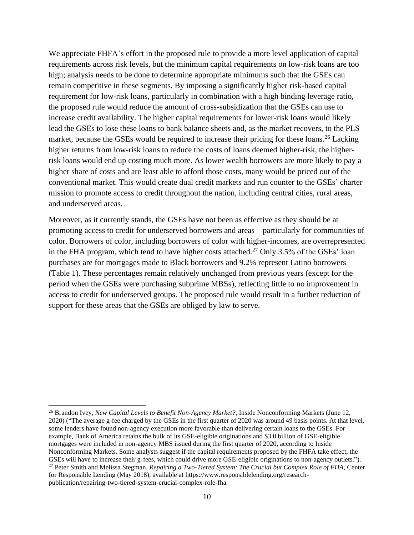We appreciate FHFA's effort in the proposed rule to provide a more level application of capital requirements across risk levels, but the minimum capital requirements on low-risk loans are too high; analysis needs to be done to determine appropriate minimums such that the GSEs can remain competitive in these segments. By imposing a significantly higher risk-based capital requirement for low-risk loans, particularly in combination with a high binding leverage ratio, the proposed rule would reduce the amount of cross-subsidization that the GSEs can use to increase credit availability. The higher capital requirements for lower-risk loans would likely lead the GSEs to lose these loans to bank balance sheets and, as the market recovers, to the PLS market, because the GSEs would be required to increase their pricing for these loans.<sup>26</sup> Lacking higher returns from low-risk loans to reduce the costs of loans deemed higher-risk, the higherrisk loans would end up costing much more. As lower wealth borrowers are more likely to pay a higher share of costs and are least able to afford those costs, many would be priced out of the conventional market. This would create dual credit markets and run counter to the GSEs' charter mission to promote access to credit throughout the nation, including central cities, rural areas, and underserved areas.

Moreover, as it currently stands, the GSEs have not been as effective as they should be at promoting access to credit for underserved borrowers and areas – particularly for communities of color. Borrowers of color, including borrowers of color with higher-incomes, are overrepresented in the FHA program, which tend to have higher costs attached.<sup>27</sup> Only 3.5% of the GSEs' loan purchases are for mortgages made to Black borrowers and 9.2% represent Latino borrowers (Table 1). These percentages remain relatively unchanged from previous years (except for the period when the GSEs were purchasing subprime MBSs), reflecting little to no improvement in access to credit for underserved groups. The proposed rule would result in a further reduction of support for these areas that the GSEs are obliged by law to serve.

<sup>26</sup> Brandon Ivey, *New Capital Levels to Benefit Non-Agency Market?*, Inside Nonconforming Markets (June 12, 2020) ("The average g-fee charged by the GSEs in the first quarter of 2020 was around 49 basis points. At that level, some lenders have found non-agency execution more favorable than delivering certain loans to the GSEs. For example, Bank of America retains the bulk of its GSE-eligible originations and \$3.0 billion of GSE-eligible mortgages were included in non-agency MBS issued during the first quarter of 2020, according to Inside Nonconforming Markets. Some analysts suggest if the capital requirements proposed by the FHFA take effect, the GSEs will have to increase their g-fees, which could drive more GSE-eligible originations to non-agency outlets."). <sup>27</sup> Peter Smith and Melissa Stegman, *Repairing a Two-Tiered System: The Crucial but Complex Role of FHA*, Center

for Responsible Lending (May 2018), available at [https://www.responsiblelending.org/research](https://www.responsiblelending.org/research-publication/repairing-two-tiered-system-crucial-complex-role-fha)[publication/repairing-two-tiered-system-crucial-complex-role-fha.](https://www.responsiblelending.org/research-publication/repairing-two-tiered-system-crucial-complex-role-fha)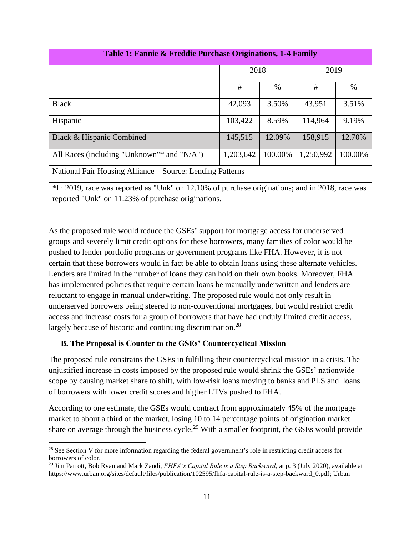| Table 1: Fannie & Freddie Purchase Originations, 1-4 Family                                                                   |           |         |           |         |
|-------------------------------------------------------------------------------------------------------------------------------|-----------|---------|-----------|---------|
|                                                                                                                               | 2018      |         | 2019      |         |
|                                                                                                                               | #         | $\%$    | #         | $\%$    |
| <b>Black</b>                                                                                                                  | 42,093    | 3.50%   | 43,951    | 3.51%   |
| Hispanic                                                                                                                      | 103,422   | 8.59%   | 114,964   | 9.19%   |
| Black & Hispanic Combined                                                                                                     | 145,515   | 12.09%  | 158,915   | 12.70%  |
| All Races (including "Unknown"* and "N/A")                                                                                    | 1,203,642 | 100.00% | 1,250,992 | 100.00% |
| $1$ m $\cdot$ TT<br>$\overline{11}$<br>$\mathbf{X}$ $\mathbf{Y}$<br>$\sim$ $\sim$ $\sim$ $\sim$ $\sim$ $\sim$<br>$\mathbf{r}$ |           |         |           |         |

## **Table 1: Fannie & Freddie Purchase Originations, 1-4 Family**

National Fair Housing Alliance – Source: Lending Patterns

\*In 2019, race was reported as "Unk" on 12.10% of purchase originations; and in 2018, race was reported "Unk" on 11.23% of purchase originations.

As the proposed rule would reduce the GSEs' support for mortgage access for underserved groups and severely limit credit options for these borrowers, many families of color would be pushed to lender portfolio programs or government programs like FHA. However, it is not certain that these borrowers would in fact be able to obtain loans using these alternate vehicles. Lenders are limited in the number of loans they can hold on their own books. Moreover, FHA has implemented policies that require certain loans be manually underwritten and lenders are reluctant to engage in manual underwriting. The proposed rule would not only result in underserved borrowers being steered to non-conventional mortgages, but would restrict credit access and increase costs for a group of borrowers that have had unduly limited credit access, largely because of historic and continuing discrimination.<sup>28</sup>

#### **B. The Proposal is Counter to the GSEs' Countercyclical Mission**

The proposed rule constrains the GSEs in fulfilling their countercyclical mission in a crisis. The unjustified increase in costs imposed by the proposed rule would shrink the GSEs' nationwide scope by causing market share to shift, with low-risk loans moving to banks and PLS and loans of borrowers with lower credit scores and higher LTVs pushed to FHA.

According to one estimate, the GSEs would contract from approximately 45% of the mortgage market to about a third of the market, losing 10 to 14 percentage points of origination market share on average through the business cycle.<sup>29</sup> With a smaller footprint, the GSEs would provide

<sup>&</sup>lt;sup>28</sup> See Section V for more information regarding the federal government's role in restricting credit access for borrowers of color.

<sup>29</sup> Jim Parrott, Bob Ryan and Mark Zandi, *FHFA's Capital Rule is a Step Backward*, at p. 3 (July 2020), available at [https://www.urban.org/sites/default/files/publication/102595/fhfa-capital-rule-is-a-step-backward\\_0.pdf;](https://www.urban.org/sites/default/files/publication/102595/fhfa-capital-rule-is-a-step-backward_0.pdf) Urban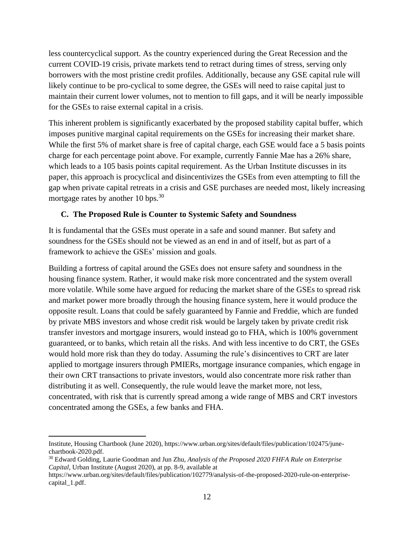less countercyclical support. As the country experienced during the Great Recession and the current COVID-19 crisis, private markets tend to retract during times of stress, serving only borrowers with the most pristine credit profiles. Additionally, because any GSE capital rule will likely continue to be pro-cyclical to some degree, the GSEs will need to raise capital just to maintain their current lower volumes, not to mention to fill gaps, and it will be nearly impossible for the GSEs to raise external capital in a crisis.

This inherent problem is significantly exacerbated by the proposed stability capital buffer, which imposes punitive marginal capital requirements on the GSEs for increasing their market share. While the first 5% of market share is free of capital charge, each GSE would face a 5 basis points charge for each percentage point above. For example, currently Fannie Mae has a 26% share, which leads to a 105 basis points capital requirement. As the Urban Institute discusses in its paper, this approach is procyclical and disincentivizes the GSEs from even attempting to fill the gap when private capital retreats in a crisis and GSE purchases are needed most, likely increasing mortgage rates by another 10 bps.<sup>30</sup>

#### **C. The Proposed Rule is Counter to Systemic Safety and Soundness**

It is fundamental that the GSEs must operate in a safe and sound manner. But safety and soundness for the GSEs should not be viewed as an end in and of itself, but as part of a framework to achieve the GSEs' mission and goals.

Building a fortress of capital around the GSEs does not ensure safety and soundness in the housing finance system. Rather, it would make risk more concentrated and the system overall more volatile. While some have argued for reducing the market share of the GSEs to spread risk and market power more broadly through the housing finance system, here it would produce the opposite result. Loans that could be safely guaranteed by Fannie and Freddie, which are funded by private MBS investors and whose credit risk would be largely taken by private credit risk transfer investors and mortgage insurers, would instead go to FHA, which is 100% government guaranteed, or to banks, which retain all the risks. And with less incentive to do CRT, the GSEs would hold more risk than they do today. Assuming the rule's disincentives to CRT are later applied to mortgage insurers through PMIERs, mortgage insurance companies, which engage in their own CRT transactions to private investors, would also concentrate more risk rather than distributing it as well. Consequently, the rule would leave the market more, not less, concentrated, with risk that is currently spread among a wide range of MBS and CRT investors concentrated among the GSEs, a few banks and FHA.

Institute, Housing Chartbook (June 2020)[, https://www.urban.org/sites/default/files/publication/102475/june](https://www.urban.org/sites/default/files/publication/102475/june-chartbook-2020.pdf)[chartbook-2020.pdf.](https://www.urban.org/sites/default/files/publication/102475/june-chartbook-2020.pdf)

<sup>30</sup> Edward Golding, Laurie Goodman and Jun Zhu, *Analysis of the Proposed 2020 FHFA Rule on Enterprise Capital*, Urban Institute (August 2020), at pp. 8-9, available at

[https://www.urban.org/sites/default/files/publication/102779/analysis-of-the-proposed-2020-rule-on-enterprise](https://www.urban.org/sites/default/files/publication/102779/analysis-of-the-proposed-2020-rule-on-enterprise-capital_1.pdf)[capital\\_1.pdf.](https://www.urban.org/sites/default/files/publication/102779/analysis-of-the-proposed-2020-rule-on-enterprise-capital_1.pdf)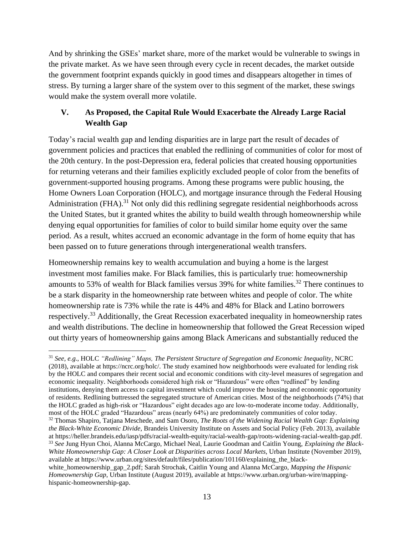And by shrinking the GSEs' market share, more of the market would be vulnerable to swings in the private market. As we have seen through every cycle in recent decades, the market outside the government footprint expands quickly in good times and disappears altogether in times of stress. By turning a larger share of the system over to this segment of the market, these swings would make the system overall more volatile.

# **V. As Proposed, the Capital Rule Would Exacerbate the Already Large Racial Wealth Gap**

Today's racial wealth gap and lending disparities are in large part the result of decades of government policies and practices that enabled the redlining of communities of color for most of the 20th century. In the post-Depression era, federal policies that created housing opportunities for returning veterans and their families explicitly excluded people of color from the benefits of government-supported housing programs. Among these programs were public housing, the Home Owners Loan Corporation (HOLC), and mortgage insurance through the Federal Housing Administration (FHA).<sup>31</sup> Not only did this redlining segregate residential neighborhoods across the United States, but it granted whites the ability to build wealth through homeownership while denying equal opportunities for families of color to build similar home equity over the same period. As a result, whites accrued an economic advantage in the form of home equity that has been passed on to future generations through intergenerational wealth transfers.

Homeownership remains key to wealth accumulation and buying a home is the largest investment most families make. For Black families, this is particularly true: homeownership amounts to 53% of wealth for Black families versus  $39%$  for white families.<sup>32</sup> There continues to be a stark disparity in the homeownership rate between whites and people of color. The white homeownership rate is 73% while the rate is 44% and 48% for Black and Latino borrowers respectively.<sup>33</sup> Additionally, the Great Recession exacerbated inequality in homeownership rates and wealth distributions. The decline in homeownership that followed the Great Recession wiped out thirty years of homeownership gains among Black Americans and substantially reduced the

<sup>31</sup> *See, e.g*., HOLC *"Redlining" Maps, The Persistent Structure of Segregation and Economic Inequality*, NCRC (2018), available at [https://ncrc.org/holc/.](https://ncrc.org/holc/) The study examined how neighborhoods were evaluated for lending risk by the HOLC and compares their recent social and economic conditions with city-level measures of segregation and economic inequality. Neighborhoods considered high risk or "Hazardous" were often "redlined" by lending institutions, denying them access to capital investment which could improve the housing and economic opportunity of residents. Redlining buttressed the segregated structure of American cities. Most of the neighborhoods (74%) that the HOLC graded as high-risk or "Hazardous" eight decades ago are low-to-moderate income today. Additionally, most of the HOLC graded "Hazardous" areas (nearly 64%) are predominately communities of color today. <sup>32</sup> Thomas Shapiro, Tatjana Meschede, and Sam Osoro, *The Roots of the Widening Racial Wealth Gap: Explaining the Black-White Economic Divide*, Brandeis University Institute on Assets and Social Policy (Feb. 2013), available at https://heller.brandeis.edu/iasp/pdfs/racial-wealth-equity/racial-wealth-gap/roots-widening-racial-wealth-gap.pdf. <sup>33</sup> *See* Jung Hyun Choi, Alanna McCargo, Michael Neal, Laurie Goodman and Caitlin Young, *Explaining the Black-White Homeownership Gap: A Closer Look at Disparities across Local Markets*, Urban Institute (November 2019), available at [https://www.urban.org/sites/default/files/publication/101160/explaining\\_the\\_black-](https://www.urban.org/sites/default/files/publication/101160/explaining_the_black-white_homeownership_gap_2.pdf)

[white\\_homeownership\\_gap\\_2.pdf;](https://www.urban.org/sites/default/files/publication/101160/explaining_the_black-white_homeownership_gap_2.pdf) Sarah Strochak, Caitlin Young and Alanna McCargo, *Mapping the Hispanic Homeownership Gap*, Urban Institute (August 2019), available at [https://www.urban.org/urban-wire/mapping](https://www.urban.org/urban-wire/mapping-hispanic-homeownership-gap)[hispanic-homeownership-gap.](https://www.urban.org/urban-wire/mapping-hispanic-homeownership-gap)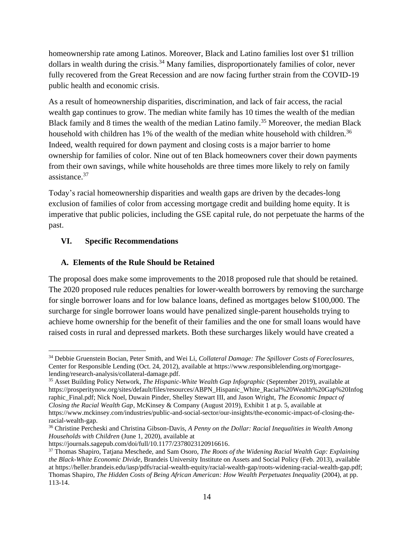homeownership rate among Latinos. Moreover, Black and Latino families lost over \$1 trillion dollars in wealth during the crisis.<sup>34</sup> Many families, disproportionately families of color, never fully recovered from the Great Recession and are now facing further strain from the COVID-19 public health and economic crisis.

As a result of homeownership disparities, discrimination, and lack of fair access, the racial wealth gap continues to grow. The median white family has 10 times the wealth of the median Black family and 8 times the wealth of the median Latino family.<sup>35</sup> Moreover, the median Black household with children has 1% of the wealth of the median white household with children.<sup>36</sup> Indeed, wealth required for down payment and closing costs is a major barrier to home ownership for families of color. Nine out of ten Black homeowners cover their down payments from their own savings, while white households are three times more likely to rely on family assistance.<sup>37</sup>

Today's racial homeownership disparities and wealth gaps are driven by the decades-long exclusion of families of color from accessing mortgage credit and building home equity. It is imperative that public policies, including the GSE capital rule, do not perpetuate the harms of the past.

## **VI. Specific Recommendations**

## **A. Elements of the Rule Should be Retained**

The proposal does make some improvements to the 2018 proposed rule that should be retained. The 2020 proposed rule reduces penalties for lower-wealth borrowers by removing the surcharge for single borrower loans and for low balance loans, defined as mortgages below \$100,000. The surcharge for single borrower loans would have penalized single-parent households trying to achieve home ownership for the benefit of their families and the one for small loans would have raised costs in rural and depressed markets. Both these surcharges likely would have created a

<sup>34</sup> Debbie Gruenstein Bocian, Peter Smith, and Wei Li, *Collateral Damage: The Spillover Costs of Foreclosures*, Center for Responsible Lending (Oct. 24, 2012), available at [https://www.responsiblelending.org/mortgage](https://www.responsiblelending.org/mortgage-lending/research-analysis/collateral-damage.pdf)[lending/research-analysis/collateral-damage.pdf.](https://www.responsiblelending.org/mortgage-lending/research-analysis/collateral-damage.pdf)

<sup>35</sup> Asset Building Policy Network, *The Hispanic-White Wealth Gap Infographic* (September 2019), available at [https://prosperitynow.org/sites/default/files/resources/ABPN\\_Hispanic\\_White\\_Racial%20Wealth%20Gap%20Infog](https://prosperitynow.org/sites/default/files/resources/ABPN_Hispanic_White_Racial%20Wealth%20Gap%20Infographic_Final.pdf) [raphic\\_Final.pdf;](https://prosperitynow.org/sites/default/files/resources/ABPN_Hispanic_White_Racial%20Wealth%20Gap%20Infographic_Final.pdf) Nick Noel, Duwain Pinder, Shelley Stewart III, and Jason Wright, *The Economic Impact of Closing the Racial Wealth Gap*, McKinsey & Company (August 2019), Exhibit 1 at p. 5, available at [https://www.mckinsey.com/industries/public-and-social-sector/our-insights/the-economic-impact-of-closing-the](https://www.mckinsey.com/industries/public-and-social-sector/our-insights/the-economic-impact-of-closing-the-racial-wealth-gap)[racial-wealth-gap.](https://www.mckinsey.com/industries/public-and-social-sector/our-insights/the-economic-impact-of-closing-the-racial-wealth-gap)

<sup>36</sup> Christine Percheski and Christina Gibson-Davis, *A Penny on the Dollar: Racial Inequalities in Wealth Among Households with Children* (June 1, 2020), available at

[https://journals.sagepub.com/doi/full/10.1177/2378023120916616.](https://journals.sagepub.com/doi/full/10.1177/2378023120916616)

<sup>37</sup> Thomas Shapiro, Tatjana Meschede, and Sam Osoro, *The Roots of the Widening Racial Wealth Gap: Explaining the Black-White Economic Divide*, Brandeis University Institute on Assets and Social Policy (Feb. 2013), available a[t https://heller.brandeis.edu/iasp/pdfs/racial-wealth-equity/racial-wealth-gap/roots-widening-racial-wealth-gap.pdf;](https://heller.brandeis.edu/iasp/pdfs/racial-wealth-equity/racial-wealth-gap/roots-widening-racial-wealth-gap.pdf) Thomas Shapiro, *The Hidden Costs of Being African American: How Wealth Perpetuates Inequality* (2004), at pp. 113-14.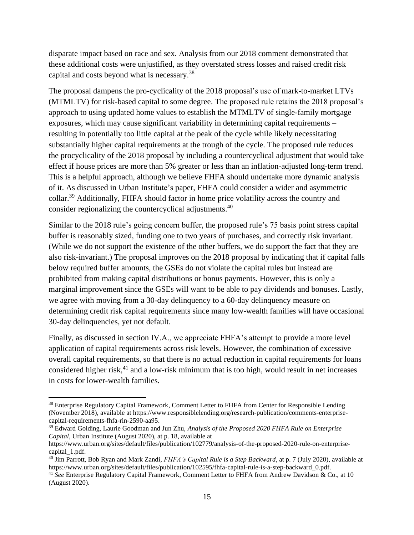disparate impact based on race and sex. Analysis from our 2018 comment demonstrated that these additional costs were unjustified, as they overstated stress losses and raised credit risk capital and costs beyond what is necessary.<sup>38</sup>

The proposal dampens the pro-cyclicality of the 2018 proposal's use of mark-to-market LTVs (MTMLTV) for risk-based capital to some degree. The proposed rule retains the 2018 proposal's approach to using updated home values to establish the MTMLTV of single-family mortgage exposures, which may cause significant variability in determining capital requirements – resulting in potentially too little capital at the peak of the cycle while likely necessitating substantially higher capital requirements at the trough of the cycle. The proposed rule reduces the procyclicality of the 2018 proposal by including a countercyclical adjustment that would take effect if house prices are more than 5% greater or less than an inflation-adjusted long-term trend. This is a helpful approach, although we believe FHFA should undertake more dynamic analysis of it. As discussed in Urban Institute's paper, FHFA could consider a wider and asymmetric collar.<sup>39</sup> Additionally, FHFA should factor in home price volatility across the country and consider regionalizing the countercyclical adjustments.<sup>40</sup>

Similar to the 2018 rule's going concern buffer, the proposed rule's 75 basis point stress capital buffer is reasonably sized, funding one to two years of purchases, and correctly risk invariant. (While we do not support the existence of the other buffers, we do support the fact that they are also risk-invariant.) The proposal improves on the 2018 proposal by indicating that if capital falls below required buffer amounts, the GSEs do not violate the capital rules but instead are prohibited from making capital distributions or bonus payments. However, this is only a marginal improvement since the GSEs will want to be able to pay dividends and bonuses. Lastly, we agree with moving from a 30-day delinquency to a 60-day delinquency measure on determining credit risk capital requirements since many low-wealth families will have occasional 30-day delinquencies, yet not default.

Finally, as discussed in section IV.A., we appreciate FHFA's attempt to provide a more level application of capital requirements across risk levels. However, the combination of excessive overall capital requirements, so that there is no actual reduction in capital requirements for loans considered higher risk, $^{41}$  and a low-risk minimum that is too high, would result in net increases in costs for lower-wealth families.

<sup>38</sup> Enterprise Regulatory Capital Framework, Comment Letter to FHFA from Center for Responsible Lending (November 2018), available a[t https://www.responsiblelending.org/research-publication/comments-enterprise](https://www.responsiblelending.org/research-publication/comments-enterprise-capital-requirements-fhfa-rin-2590-aa95)[capital-requirements-fhfa-rin-2590-aa95.](https://www.responsiblelending.org/research-publication/comments-enterprise-capital-requirements-fhfa-rin-2590-aa95)

<sup>39</sup> Edward Golding, Laurie Goodman and Jun Zhu, *Analysis of the Proposed 2020 FHFA Rule on Enterprise Capital*, Urban Institute (August 2020), at p. 18, available at

[https://www.urban.org/sites/default/files/publication/102779/analysis-of-the-proposed-2020-rule-on-enterprise](https://www.urban.org/sites/default/files/publication/102779/analysis-of-the-proposed-2020-rule-on-enterprise-capital_1.pdf)[capital\\_1.pdf.](https://www.urban.org/sites/default/files/publication/102779/analysis-of-the-proposed-2020-rule-on-enterprise-capital_1.pdf)

<sup>40</sup> Jim Parrott, Bob Ryan and Mark Zandi, *FHFA's Capital Rule is a Step Backward*, at p. 7 (July 2020), available at [https://www.urban.org/sites/default/files/publication/102595/fhfa-capital-rule-is-a-step-backward\\_0.pdf.](https://www.urban.org/sites/default/files/publication/102595/fhfa-capital-rule-is-a-step-backward_0.pdf)

<sup>41</sup> *See* Enterprise Regulatory Capital Framework, Comment Letter to FHFA from Andrew Davidson & Co., at 10 (August 2020).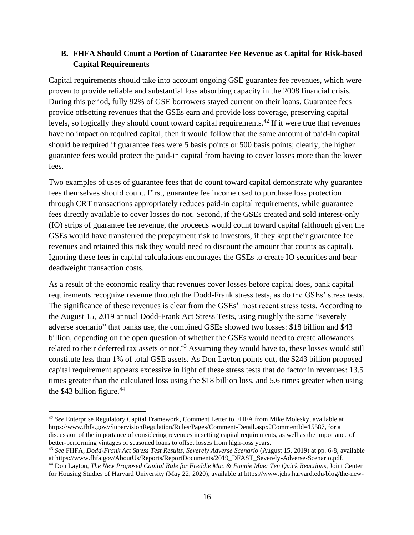## **B. FHFA Should Count a Portion of Guarantee Fee Revenue as Capital for Risk-based Capital Requirements**

Capital requirements should take into account ongoing GSE guarantee fee revenues, which were proven to provide reliable and substantial loss absorbing capacity in the 2008 financial crisis. During this period, fully 92% of GSE borrowers stayed current on their loans. Guarantee fees provide offsetting revenues that the GSEs earn and provide loss coverage, preserving capital levels, so logically they should count toward capital requirements.<sup>42</sup> If it were true that revenues have no impact on required capital, then it would follow that the same amount of paid-in capital should be required if guarantee fees were 5 basis points or 500 basis points; clearly, the higher guarantee fees would protect the paid-in capital from having to cover losses more than the lower fees.

Two examples of uses of guarantee fees that do count toward capital demonstrate why guarantee fees themselves should count. First, guarantee fee income used to purchase loss protection through CRT transactions appropriately reduces paid-in capital requirements, while guarantee fees directly available to cover losses do not. Second, if the GSEs created and sold interest-only (IO) strips of guarantee fee revenue, the proceeds would count toward capital (although given the GSEs would have transferred the prepayment risk to investors, if they kept their guarantee fee revenues and retained this risk they would need to discount the amount that counts as capital). Ignoring these fees in capital calculations encourages the GSEs to create IO securities and bear deadweight transaction costs.

As a result of the economic reality that revenues cover losses before capital does, bank capital requirements recognize revenue through the Dodd-Frank stress tests, as do the GSEs' stress tests. The significance of these revenues is clear from the GSEs' most recent stress tests. According to the August 15, 2019 annual Dodd-Frank Act Stress Tests, using roughly the same "severely adverse scenario" that banks use, the combined GSEs showed two losses: \$18 billion and \$43 billion, depending on the open question of whether the GSEs would need to create allowances related to their deferred tax assets or not.<sup>43</sup> Assuming they would have to, these losses would still constitute less than 1% of total GSE assets. As Don Layton points out, the \$243 billion proposed capital requirement appears excessive in light of these stress tests that do factor in revenues: 13.5 times greater than the calculated loss using the \$18 billion loss, and 5.6 times greater when using the \$43 billion figure.<sup>44</sup>

<sup>42</sup> *See* Enterprise Regulatory Capital Framework, Comment Letter to FHFA from Mike Molesky, available at [https://www.fhfa.gov//SupervisionRegulation/Rules/Pages/Comment-Detail.aspx?CommentId=15587,](https://www.fhfa.gov/SupervisionRegulation/Rules/Pages/Comment-Detail.aspx?CommentId=15587) for a discussion of the importance of considering revenues in setting capital requirements, as well as the importance of better-performing vintages of seasoned loans to offset losses from high-loss years.

<sup>43</sup> *See* FHFA, *Dodd-Frank Act Stress Test Results, Severely Adverse Scenario* (August 15, 2019) at pp. 6-8, available a[t https://www.fhfa.gov/AboutUs/Reports/ReportDocuments/2019\\_DFAST\\_Severely-Adverse-Scenario.pdf.](https://www.fhfa.gov/AboutUs/Reports/ReportDocuments/2019_DFAST_Severely-Adverse-Scenario.pdf)

<sup>44</sup> Don Layton, *The New Proposed Capital Rule for Freddie Mac & Fannie Mae: Ten Quick Reactions*, Joint Center for Housing Studies of Harvard University (May 22, 2020), available at [https://www.jchs.harvard.edu/blog/the-new-](https://www.jchs.harvard.edu/blog/the-new-proposed-capital-rule-for-freddie-mac-fannie-mae-ten-quick-reactions/)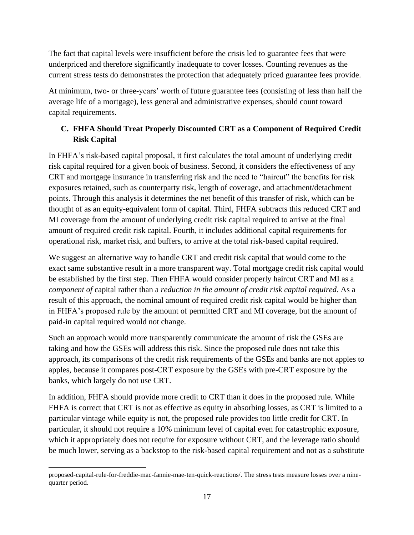The fact that capital levels were insufficient before the crisis led to guarantee fees that were underpriced and therefore significantly inadequate to cover losses. Counting revenues as the current stress tests do demonstrates the protection that adequately priced guarantee fees provide.

At minimum, two- or three-years' worth of future guarantee fees (consisting of less than half the average life of a mortgage), less general and administrative expenses, should count toward capital requirements.

## **C. FHFA Should Treat Properly Discounted CRT as a Component of Required Credit Risk Capital**

In FHFA's risk-based capital proposal, it first calculates the total amount of underlying credit risk capital required for a given book of business. Second, it considers the effectiveness of any CRT and mortgage insurance in transferring risk and the need to "haircut" the benefits for risk exposures retained, such as counterparty risk, length of coverage, and attachment/detachment points. Through this analysis it determines the net benefit of this transfer of risk, which can be thought of as an equity-equivalent form of capital. Third, FHFA subtracts this reduced CRT and MI coverage from the amount of underlying credit risk capital required to arrive at the final amount of required credit risk capital. Fourth, it includes additional capital requirements for operational risk, market risk, and buffers, to arrive at the total risk-based capital required.

We suggest an alternative way to handle CRT and credit risk capital that would come to the exact same substantive result in a more transparent way. Total mortgage credit risk capital would be established by the first step. Then FHFA would consider properly haircut CRT and MI as a *component of* capital rather than a *reduction in the amount of credit risk capital required*. As a result of this approach, the nominal amount of required credit risk capital would be higher than in FHFA's proposed rule by the amount of permitted CRT and MI coverage, but the amount of paid-in capital required would not change.

Such an approach would more transparently communicate the amount of risk the GSEs are taking and how the GSEs will address this risk. Since the proposed rule does not take this approach, its comparisons of the credit risk requirements of the GSEs and banks are not apples to apples, because it compares post-CRT exposure by the GSEs with pre-CRT exposure by the banks, which largely do not use CRT.

In addition, FHFA should provide more credit to CRT than it does in the proposed rule. While FHFA is correct that CRT is not as effective as equity in absorbing losses, as CRT is limited to a particular vintage while equity is not, the proposed rule provides too little credit for CRT. In particular, it should not require a 10% minimum level of capital even for catastrophic exposure, which it appropriately does not require for exposure without CRT, and the leverage ratio should be much lower, serving as a backstop to the risk-based capital requirement and not as a substitute

[proposed-capital-rule-for-freddie-mac-fannie-mae-ten-quick-reactions/.](https://www.jchs.harvard.edu/blog/the-new-proposed-capital-rule-for-freddie-mac-fannie-mae-ten-quick-reactions/) The stress tests measure losses over a ninequarter period.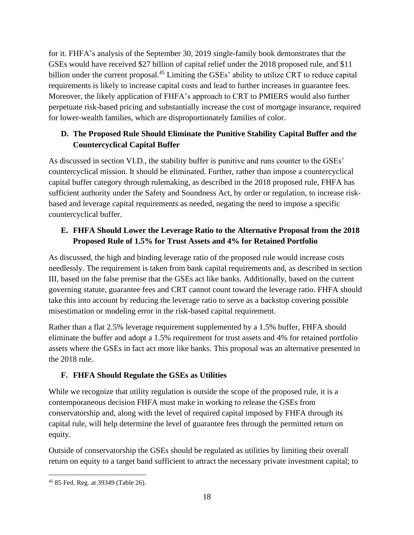for it. FHFA's analysis of the September 30, 2019 single-family book demonstrates that the GSEs would have received \$27 billion of capital relief under the 2018 proposed rule, and \$11 billion under the current proposal.<sup>45</sup> Limiting the GSEs' ability to utilize CRT to reduce capital requirements is likely to increase capital costs and lead to further increases in guarantee fees. Moreover, the likely application of FHFA's approach to CRT to PMIERS would also further perpetuate risk-based pricing and substantially increase the cost of mortgage insurance, required for lower-wealth families, which are disproportionately families of color.

# **D. The Proposed Rule Should Eliminate the Punitive Stability Capital Buffer and the Countercyclical Capital Buffer**

As discussed in section VI.D., the stability buffer is punitive and runs counter to the GSEs' countercyclical mission. It should be eliminated. Further, rather than impose a countercyclical capital buffer category through rulemaking, as described in the 2018 proposed rule, FHFA has sufficient authority under the Safety and Soundness Act, by order or regulation, to increase riskbased and leverage capital requirements as needed, negating the need to impose a specific countercyclical buffer.

# **E. FHFA Should Lower the Leverage Ratio to the Alternative Proposal from the 2018 Proposed Rule of 1.5% for Trust Assets and 4% for Retained Portfolio**

As discussed, the high and binding leverage ratio of the proposed rule would increase costs needlessly. The requirement is taken from bank capital requirements and, as described in section III, based on the false premise that the GSEs act like banks. Additionally, based on the current governing statute, guarantee fees and CRT cannot count toward the leverage ratio. FHFA should take this into account by reducing the leverage ratio to serve as a backstop covering possible misestimation or modeling error in the risk-based capital requirement.

Rather than a flat 2.5% leverage requirement supplemented by a 1.5% buffer, FHFA should eliminate the buffer and adopt a 1.5% requirement for trust assets and 4% for retained portfolio assets where the GSEs in fact act more like banks. This proposal was an alternative presented in the 2018 rule.

# **F. FHFA Should Regulate the GSEs as Utilities**

While we recognize that utility regulation is outside the scope of the proposed rule, it is a contemporaneous decision FHFA must make in working to release the GSEs from conservatorship and, along with the level of required capital imposed by FHFA through its capital rule, will help determine the level of guarantee fees through the permitted return on equity.

Outside of conservatorship the GSEs should be regulated as utilities by limiting their overall return on equity to a target band sufficient to attract the necessary private investment capital; to

<sup>45</sup> 85 Fed. Reg. at 39349 (Table 26).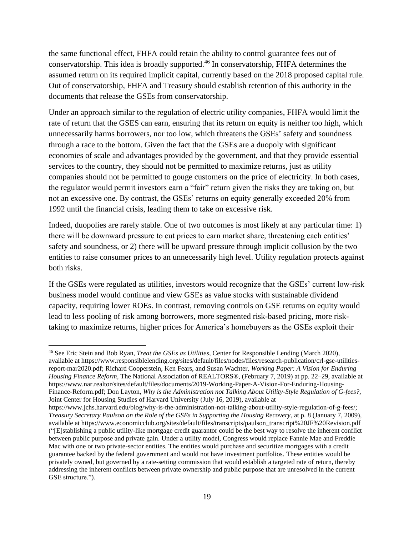the same functional effect, FHFA could retain the ability to control guarantee fees out of conservatorship. This idea is broadly supported. <sup>46</sup> In conservatorship, FHFA determines the assumed return on its required implicit capital, currently based on the 2018 proposed capital rule. Out of conservatorship, FHFA and Treasury should establish retention of this authority in the documents that release the GSEs from conservatorship.

Under an approach similar to the regulation of electric utility companies, FHFA would limit the rate of return that the GSES can earn, ensuring that its return on equity is neither too high, which unnecessarily harms borrowers, nor too low, which threatens the GSEs' safety and soundness through a race to the bottom. Given the fact that the GSEs are a duopoly with significant economies of scale and advantages provided by the government, and that they provide essential services to the country, they should not be permitted to maximize returns, just as utility companies should not be permitted to gouge customers on the price of electricity. In both cases, the regulator would permit investors earn a "fair" return given the risks they are taking on, but not an excessive one. By contrast, the GSEs' returns on equity generally exceeded 20% from 1992 until the financial crisis, leading them to take on excessive risk.

Indeed, duopolies are rarely stable. One of two outcomes is most likely at any particular time: 1) there will be downward pressure to cut prices to earn market share, threatening each entities' safety and soundness, or 2) there will be upward pressure through implicit collusion by the two entities to raise consumer prices to an unnecessarily high level. Utility regulation protects against both risks.

If the GSEs were regulated as utilities, investors would recognize that the GSEs' current low-risk business model would continue and view GSEs as value stocks with sustainable dividend capacity, requiring lower ROEs. In contrast, removing controls on GSE returns on equity would lead to less pooling of risk among borrowers, more segmented risk-based pricing, more risktaking to maximize returns, higher prices for America's homebuyers as the GSEs exploit their

<sup>46</sup> See Eric Stein and Bob Ryan, *Treat the GSEs as Utilities*, Center for Responsible Lending (March 2020), available at [https://www.responsiblelending.org/sites/default/files/nodes/files/research-publication/crl-gse-utilities](https://www.responsiblelending.org/sites/default/files/nodes/files/research-publication/crl-gse-utilities-report-mar2020.pdf)[report-mar2020.pdf;](https://www.responsiblelending.org/sites/default/files/nodes/files/research-publication/crl-gse-utilities-report-mar2020.pdf) Richard Cooperstein, Ken Fears, and Susan Wachter, *Working Paper: A Vision for Enduring Housing Finance Reform*, The National Association of REALTORS®, (February 7, 2019) at pp. 22–29, available at https://www.nar.realtor/sites/default/files/documents/2019-Working-Paper-A-Vision-For-Enduring-Housing-Finance-Reform.pdf; Don Layton, *Why is the Administration not Talking About Utility-Style Regulation of G-fees?*, Joint Center for Housing Studies of Harvard University (July 16, 2019), available at

[https://www.jchs.harvard.edu/blog/why-is-the-administration-not-talking-about-utility-style-regulation-of-g-fees/;](https://www.jchs.harvard.edu/blog/why-is-the-administration-not-talking-about-utility-style-regulation-of-g-fees/) *Treasury Secretary Paulson on the Role of the GSEs in Supporting the Housing Recovery*, at p. 8 (January 7, 2009), available at [https://www.economicclub.org/sites/default/files/transcripts/paulson\\_transcript%20JF%20Revision.pdf](https://www.economicclub.org/sites/default/files/transcripts/paulson_transcript%20JF%20Revision.pdf) ("[E]stablishing a public utility-like mortgage credit guarantor could be the best way to resolve the inherent conflict between public purpose and private gain. Under a utility model, Congress would replace Fannie Mae and Freddie Mac with one or two private-sector entities. The entities would purchase and securitize mortgages with a credit guarantee backed by the federal government and would not have investment portfolios. These entities would be privately owned, but governed by a rate-setting commission that would establish a targeted rate of return, thereby addressing the inherent conflicts between private ownership and public purpose that are unresolved in the current GSE structure.").